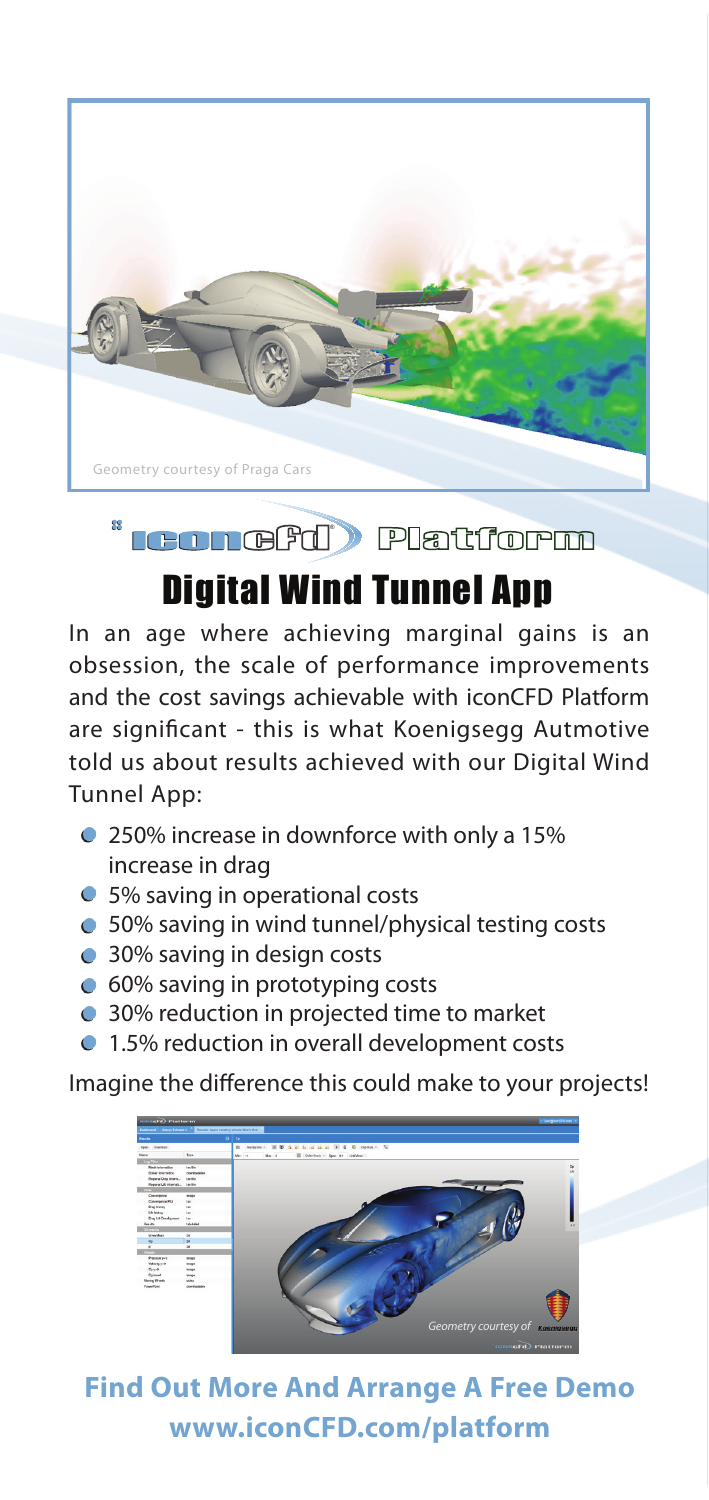

## **LeonGFd** Platform

## Digital Wind Tunnel App

In an age where achieving marginal gains is an obsession, the scale of performance improvements and the cost savings achievable with iconCFD Platform are significant - this is what Koenigsegg Autmotive told us about results achieved with our Digital Wind Tunnel App:

- 250% increase in downforce with only a 15% increase in drag
- 5% saving in operational costs
- 50% saving in wind tunnel/physical testing costs
- 30% saving in design costs

99

- 60% saving in prototyping costs
- 30% reduction in projected time to market
- **1.5% reduction in overall development costs**

Imagine the difference this could make to your projects!



**Find Out More And Arrange A Free Demo www.iconCFD.com/platform**